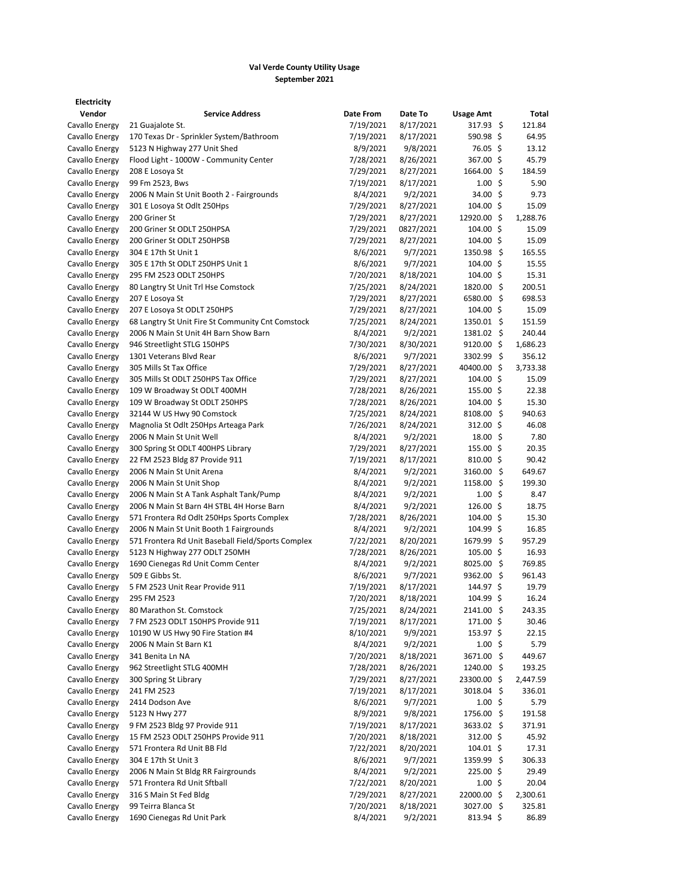## **Val Verde County Utility Usage September 2021**

| Vendor         | <b>Service Address</b>                             | Date From             | Date To               | <b>Usage Amt</b>     | Total            |
|----------------|----------------------------------------------------|-----------------------|-----------------------|----------------------|------------------|
| Cavallo Energy | 21 Guajalote St.                                   | 7/19/2021             | 8/17/2021             | $317.93 \; \text{S}$ | 121.84           |
| Cavallo Energy | 170 Texas Dr - Sprinkler System/Bathroom           | 7/19/2021             | 8/17/2021             | $590.98$ \$          | 64.95            |
| Cavallo Energy | 5123 N Highway 277 Unit Shed                       | 8/9/2021              | 9/8/2021              | 76.05 \$             | 13.12            |
| Cavallo Energy | Flood Light - 1000W - Community Center             | 7/28/2021             | 8/26/2021             | 367.00 \$            | 45.79            |
| Cavallo Energy | 208 E Losoya St                                    | 7/29/2021             | 8/27/2021             | 1664.00 \$           | 184.59           |
| Cavallo Energy | 99 Fm 2523, Bws                                    | 7/19/2021             | 8/17/2021             | $1.00 \pm$           | 5.90             |
| Cavallo Energy | 2006 N Main St Unit Booth 2 - Fairgrounds          | 8/4/2021              | 9/2/2021              | 34.00 \$             | 9.73             |
| Cavallo Energy | 301 E Losoya St Odlt 250Hps                        | 7/29/2021             | 8/27/2021             | $104.00 \; \text{S}$ | 15.09            |
| Cavallo Energy | 200 Griner St                                      | 7/29/2021             | 8/27/2021             | 12920.00 \$          | 1,288.76         |
| Cavallo Energy | 200 Griner St ODLT 250HPSA                         | 7/29/2021             | 0827/2021             | 104.00 \$            | 15.09            |
| Cavallo Energy | 200 Griner St ODLT 250HPSB                         | 7/29/2021             | 8/27/2021             | $104.00$ \$          | 15.09            |
| Cavallo Energy | 304 E 17th St Unit 1                               | 8/6/2021              | 9/7/2021              | $1350.98$ \$         | 165.55           |
| Cavallo Energy | 305 E 17th St ODLT 250HPS Unit 1                   | 8/6/2021              | 9/7/2021              | $104.00 \; \text{S}$ | 15.55            |
| Cavallo Energy | 295 FM 2523 ODLT 250HPS                            | 7/20/2021             | 8/18/2021             | $104.00$ \$          | 15.31            |
| Cavallo Energy | 80 Langtry St Unit Trl Hse Comstock                | 7/25/2021             | 8/24/2021             | 1820.00 \$           | 200.51           |
| Cavallo Energy | 207 E Losoya St                                    | 7/29/2021             | 8/27/2021             | 6580.00 \$           | 698.53           |
| Cavallo Energy | 207 E Losoya St ODLT 250HPS                        | 7/29/2021             | 8/27/2021             | $104.00$ \$          | 15.09            |
| Cavallo Energy | 68 Langtry St Unit Fire St Community Cnt Comstock  | 7/25/2021             | 8/24/2021             | $1350.01$ \$         | 151.59           |
| Cavallo Energy | 2006 N Main St Unit 4H Barn Show Barn              | 8/4/2021              | 9/2/2021              | 1381.02 \$           | 240.44           |
| Cavallo Energy | 946 Streetlight STLG 150HPS                        | 7/30/2021             | 8/30/2021             | $9120.00$ \$         | 1,686.23         |
| Cavallo Energy | 1301 Veterans Blvd Rear                            | 8/6/2021              | 9/7/2021              | 3302.99 \$           | 356.12           |
| Cavallo Energy | 305 Mills St Tax Office                            | 7/29/2021             | 8/27/2021             | 40400.00 \$          | 3,733.38         |
| Cavallo Energy | 305 Mills St ODLT 250HPS Tax Office                | 7/29/2021             | 8/27/2021             | $104.00 \; \text{S}$ | 15.09            |
| Cavallo Energy | 109 W Broadway St ODLT 400MH                       | 7/28/2021             | 8/26/2021             | $155.00 \; \simeq$   | 22.38            |
| Cavallo Energy | 109 W Broadway St ODLT 250HPS                      | 7/28/2021             | 8/26/2021             | $104.00$ \$          | 15.30            |
| Cavallo Energy | 32144 W US Hwy 90 Comstock                         | 7/25/2021             | 8/24/2021             | 8108.00 \$           | 940.63           |
| Cavallo Energy | Magnolia St Odlt 250Hps Arteaga Park               | 7/26/2021             | 8/24/2021             | 312.00 \$            | 46.08            |
| Cavallo Energy | 2006 N Main St Unit Well                           |                       |                       | $18.00 \; \simeq$    | 7.80             |
| Cavallo Energy | 300 Spring St ODLT 400HPS Library                  | 8/4/2021<br>7/29/2021 | 9/2/2021<br>8/27/2021 | $155.00 \; \text{S}$ | 20.35            |
|                |                                                    |                       |                       |                      |                  |
| Cavallo Energy | 22 FM 2523 Bldg 87 Provide 911                     | 7/19/2021             | 8/17/2021             | $810.00$ \$          | 90.42            |
| Cavallo Energy | 2006 N Main St Unit Arena                          | 8/4/2021              | 9/2/2021              | 3160.00 \$           | 649.67<br>199.30 |
| Cavallo Energy | 2006 N Main St Unit Shop                           | 8/4/2021              | 9/2/2021              | $1158.00$ \$         |                  |
| Cavallo Energy | 2006 N Main St A Tank Asphalt Tank/Pump            | 8/4/2021              | 9/2/2021              | $1.00 \pm$           | 8.47             |
| Cavallo Energy | 2006 N Main St Barn 4H STBL 4H Horse Barn          | 8/4/2021              | 9/2/2021              | $126.00$ \$          | 18.75            |
| Cavallo Energy | 571 Frontera Rd Odlt 250Hps Sports Complex         | 7/28/2021             | 8/26/2021             | $104.00$ \$          | 15.30            |
| Cavallo Energy | 2006 N Main St Unit Booth 1 Fairgrounds            | 8/4/2021              | 9/2/2021              | 104.99 \$            | 16.85            |
| Cavallo Energy | 571 Frontera Rd Unit Baseball Field/Sports Complex | 7/22/2021             | 8/20/2021             | 1679.99 \$           | 957.29           |
| Cavallo Energy | 5123 N Highway 277 ODLT 250MH                      | 7/28/2021             | 8/26/2021             | $105.00 \; \text{S}$ | 16.93            |
| Cavallo Energy | 1690 Cienegas Rd Unit Comm Center                  | 8/4/2021              | 9/2/2021              | 8025.00 \$           | 769.85           |
| Cavallo Energy | 509 E Gibbs St.                                    | 8/6/2021              | 9/7/2021              | 9362.00 \$           | 961.43           |
| Cavallo Energy | 5 FM 2523 Unit Rear Provide 911                    | 7/19/2021             | 8/17/2021             | 144.97 \$            | 19.79            |
| Cavallo Energy | 295 FM 2523                                        | 7/20/2021             | 8/18/2021             | $104.99 \;$ \$       | 16.24            |
| Cavallo Energy | 80 Marathon St. Comstock                           | 7/25/2021             | 8/24/2021             | 2141.00 \$           | 243.35           |
| Cavallo Energy | 7 FM 2523 ODLT 150HPS Provide 911                  | 7/19/2021             | 8/17/2021             | 171.00 \$            | 30.46            |
| Cavallo Energy | 10190 W US Hwy 90 Fire Station #4                  | 8/10/2021             | 9/9/2021              | 153.97 \$            | 22.15            |
| Cavallo Energy | 2006 N Main St Barn K1                             | 8/4/2021              | 9/2/2021              | $1.00 \pm$           | 5.79             |
| Cavallo Energy | 341 Benita Ln NA                                   | 7/20/2021             | 8/18/2021             | 3671.00 \$           | 449.67           |
| Cavallo Energy | 962 Streetlight STLG 400MH                         | 7/28/2021             | 8/26/2021             | 1240.00 \$           | 193.25           |
| Cavallo Energy | 300 Spring St Library                              | 7/29/2021             | 8/27/2021             | 23300.00 \$          | 2,447.59         |
| Cavallo Energy | 241 FM 2523                                        | 7/19/2021             | 8/17/2021             | 3018.04 \$           | 336.01           |
| Cavallo Energy | 2414 Dodson Ave                                    | 8/6/2021              | 9/7/2021              | $1.00 \; \text{S}$   | 5.79             |
| Cavallo Energy | 5123 N Hwy 277                                     | 8/9/2021              | 9/8/2021              | 1756.00 \$           | 191.58           |
| Cavallo Energy | 9 FM 2523 Bldg 97 Provide 911                      | 7/19/2021             | 8/17/2021             | 3633.02 \$           | 371.91           |
| Cavallo Energy | 15 FM 2523 ODLT 250HPS Provide 911                 | 7/20/2021             | 8/18/2021             | 312.00 \$            | 45.92            |
| Cavallo Energy | 571 Frontera Rd Unit BB Fld                        | 7/22/2021             | 8/20/2021             | $104.01$ \$          | 17.31            |
| Cavallo Energy | 304 E 17th St Unit 3                               | 8/6/2021              | 9/7/2021              | 1359.99 \$           | 306.33           |
| Cavallo Energy | 2006 N Main St Bldg RR Fairgrounds                 | 8/4/2021              | 9/2/2021              | $225.00$ \$          | 29.49            |
| Cavallo Energy | 571 Frontera Rd Unit Sftball                       | 7/22/2021             | 8/20/2021             | $1.00 \; \text{S}$   | 20.04            |
| Cavallo Energy | 316 S Main St Fed Bldg                             | 7/29/2021             | 8/27/2021             | 22000.00 \$          | 2,300.61         |
| Cavallo Energy | 99 Teirra Blanca St                                | 7/20/2021             | 8/18/2021             | 3027.00 \$           | 325.81           |
| Cavallo Energy | 1690 Cienegas Rd Unit Park                         | 8/4/2021              | 9/2/2021              | $813.94 \; \simeq$   | 86.89            |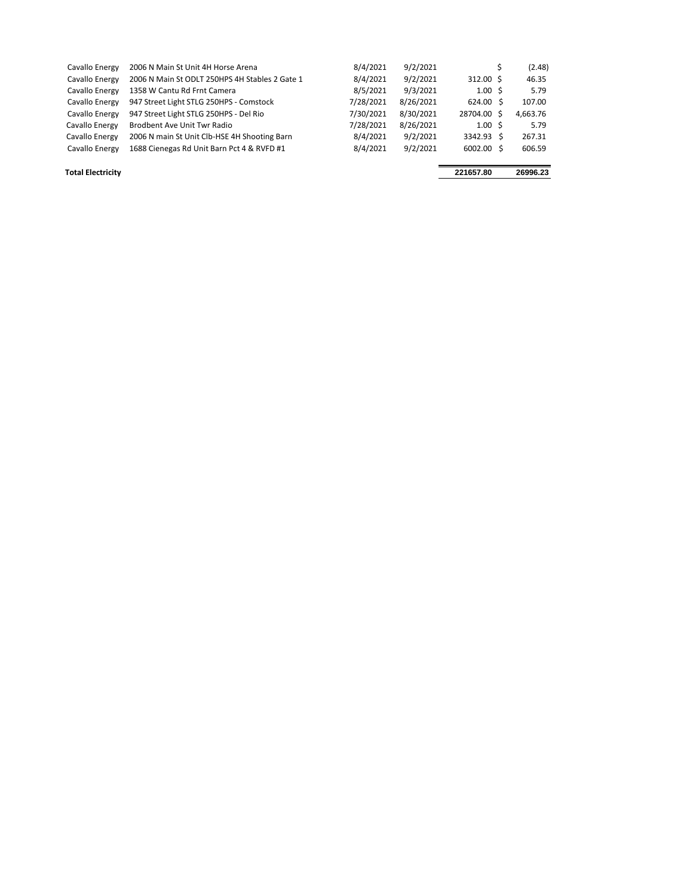| Cavallo Energy | 2006 N Main St Unit 4H Horse Arena             | 8/4/2021  | 9/2/2021  |                    | (2.48)   |
|----------------|------------------------------------------------|-----------|-----------|--------------------|----------|
| Cavallo Energy | 2006 N Main St ODLT 250HPS 4H Stables 2 Gate 1 | 8/4/2021  | 9/2/2021  | $312.00 \text{ S}$ | 46.35    |
| Cavallo Energy | 1358 W Cantu Rd Frnt Camera                    | 8/5/2021  | 9/3/2021  | 1.00S              | 5.79     |
| Cavallo Energy | 947 Street Light STLG 250HPS - Comstock        | 7/28/2021 | 8/26/2021 | $624.00 \text{ S}$ | 107.00   |
| Cavallo Energy | 947 Street Light STLG 250HPS - Del Rio         | 7/30/2021 | 8/30/2021 | 28704.00 \$        | 4,663.76 |
| Cavallo Energy | <b>Brodbent Ave Unit Twr Radio</b>             | 7/28/2021 | 8/26/2021 | 1.00 <sub>5</sub>  | 5.79     |
| Cavallo Energy | 2006 N main St Unit Clb-HSE 4H Shooting Barn   | 8/4/2021  | 9/2/2021  | 3342.93 \$         | 267.31   |
| Cavallo Energy | 1688 Cienegas Rd Unit Barn Pct 4 & RVFD #1     | 8/4/2021  | 9/2/2021  | 6002.00 \$         | 606.59   |
|                |                                                |           |           |                    |          |

**Total Electricity 221657.80 26996.23**